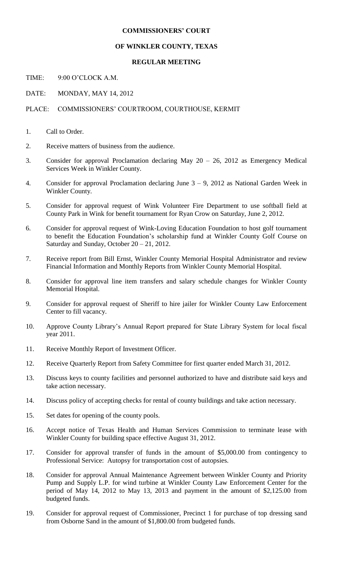## **COMMISSIONERS' COURT**

## **OF WINKLER COUNTY, TEXAS**

## **REGULAR MEETING**

TIME: 9:00 O'CLOCK A.M.

DATE: MONDAY, MAY 14, 2012

PLACE: COMMISSIONERS' COURTROOM, COURTHOUSE, KERMIT

1. Call to Order.

- 2. Receive matters of business from the audience.
- 3. Consider for approval Proclamation declaring May 20 26, 2012 as Emergency Medical Services Week in Winkler County.
- 4. Consider for approval Proclamation declaring June 3 9, 2012 as National Garden Week in Winkler County.
- 5. Consider for approval request of Wink Volunteer Fire Department to use softball field at County Park in Wink for benefit tournament for Ryan Crow on Saturday, June 2, 2012.
- 6. Consider for approval request of Wink-Loving Education Foundation to host golf tournament to benefit the Education Foundation's scholarship fund at Winkler County Golf Course on Saturday and Sunday, October 20 – 21, 2012.
- 7. Receive report from Bill Ernst, Winkler County Memorial Hospital Administrator and review Financial Information and Monthly Reports from Winkler County Memorial Hospital.
- 8. Consider for approval line item transfers and salary schedule changes for Winkler County Memorial Hospital.
- 9. Consider for approval request of Sheriff to hire jailer for Winkler County Law Enforcement Center to fill vacancy.
- 10. Approve County Library's Annual Report prepared for State Library System for local fiscal year 2011.
- 11. Receive Monthly Report of Investment Officer.
- 12. Receive Quarterly Report from Safety Committee for first quarter ended March 31, 2012.
- 13. Discuss keys to county facilities and personnel authorized to have and distribute said keys and take action necessary.
- 14. Discuss policy of accepting checks for rental of county buildings and take action necessary.
- 15. Set dates for opening of the county pools.
- 16. Accept notice of Texas Health and Human Services Commission to terminate lease with Winkler County for building space effective August 31, 2012.
- 17. Consider for approval transfer of funds in the amount of \$5,000.00 from contingency to Professional Service: Autopsy for transportation cost of autopsies.
- 18. Consider for approval Annual Maintenance Agreement between Winkler County and Priority Pump and Supply L.P. for wind turbine at Winkler County Law Enforcement Center for the period of May 14, 2012 to May 13, 2013 and payment in the amount of \$2,125.00 from budgeted funds.
- 19. Consider for approval request of Commissioner, Precinct 1 for purchase of top dressing sand from Osborne Sand in the amount of \$1,800.00 from budgeted funds.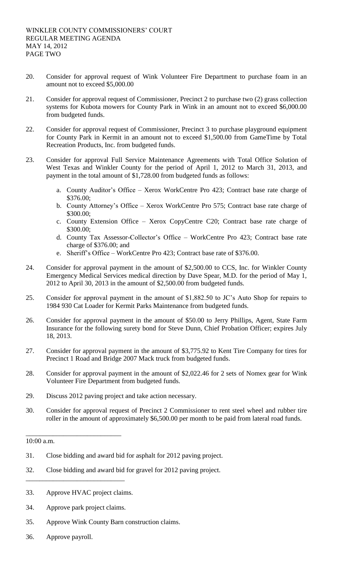- 20. Consider for approval request of Wink Volunteer Fire Department to purchase foam in an amount not to exceed \$5,000.00
- 21. Consider for approval request of Commissioner, Precinct 2 to purchase two (2) grass collection systems for Kubota mowers for County Park in Wink in an amount not to exceed \$6,000.00 from budgeted funds.
- 22. Consider for approval request of Commissioner, Precinct 3 to purchase playground equipment for County Park in Kermit in an amount not to exceed \$1,500.00 from GameTime by Total Recreation Products, Inc. from budgeted funds.
- 23. Consider for approval Full Service Maintenance Agreements with Total Office Solution of West Texas and Winkler County for the period of April 1, 2012 to March 31, 2013, and payment in the total amount of \$1,728.00 from budgeted funds as follows:
	- a. County Auditor's Office Xerox WorkCentre Pro 423; Contract base rate charge of \$376.00;
	- b. County Attorney's Office Xerox WorkCentre Pro 575; Contract base rate charge of \$300.00;
	- c. County Extension Office Xerox CopyCentre C20; Contract base rate charge of \$300.00;
	- d. County Tax Assessor-Collector's Office WorkCentre Pro 423; Contract base rate charge of \$376.00; and
	- e. Sheriff's Office WorkCentre Pro 423; Contract base rate of \$376.00.
- 24. Consider for approval payment in the amount of \$2,500.00 to CCS, Inc. for Winkler County Emergency Medical Services medical direction by Dave Spear, M.D. for the period of May 1, 2012 to April 30, 2013 in the amount of \$2,500.00 from budgeted funds.
- 25. Consider for approval payment in the amount of \$1,882.50 to JC's Auto Shop for repairs to 1984 930 Cat Loader for Kermit Parks Maintenance from budgeted funds.
- 26. Consider for approval payment in the amount of \$50.00 to Jerry Phillips, Agent, State Farm Insurance for the following surety bond for Steve Dunn, Chief Probation Officer; expires July 18, 2013.
- 27. Consider for approval payment in the amount of \$3,775.92 to Kent Tire Company for tires for Precinct 1 Road and Bridge 2007 Mack truck from budgeted funds.
- 28. Consider for approval payment in the amount of \$2,022.46 for 2 sets of Nomex gear for Wink Volunteer Fire Department from budgeted funds.
- 29. Discuss 2012 paving project and take action necessary.
- 30. Consider for approval request of Precinct 2 Commissioner to rent steel wheel and rubber tire roller in the amount of approximately \$6,500.00 per month to be paid from lateral road funds.

## 10:00 a.m.

- 31. Close bidding and award bid for asphalt for 2012 paving project.
- 32. Close bidding and award bid for gravel for 2012 paving project.
- 33. Approve HVAC project claims.
- 34. Approve park project claims.

\_\_\_\_\_\_\_\_\_\_\_\_\_\_\_\_\_\_\_\_\_\_\_\_\_\_\_\_\_

\_\_\_\_\_\_\_\_\_\_\_\_\_\_\_\_\_\_\_\_\_\_\_\_\_\_\_\_

- 35. Approve Wink County Barn construction claims.
- 36. Approve payroll.